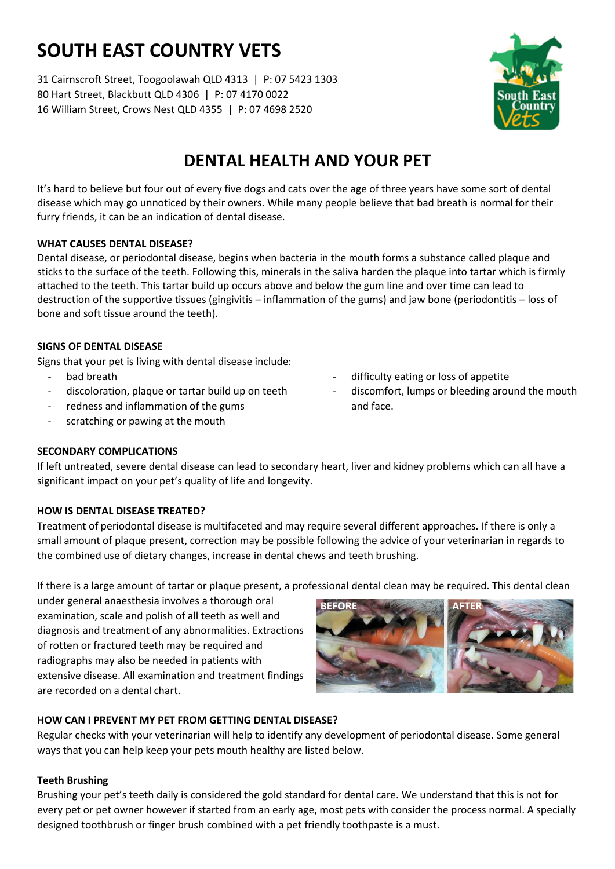# **SOUTH EAST COUNTRY VETS**

31 Cairnscroft Street, Toogoolawah QLD 4313 | P: 07 5423 1303 80 Hart Street, Blackbutt QLD 4306 | P: 07 4170 0022 16 William Street, Crows Nest QLD 4355 | P: 07 4698 2520



## **DENTAL HEALTH AND YOUR PET**

It's hard to believe but four out of every five dogs and cats over the age of three years have some sort of dental disease which may go unnoticed by their owners. While many people believe that bad breath is normal for their furry friends, it can be an indication of dental disease.

#### **WHAT CAUSES DENTAL DISEASE?**

Dental disease, or periodontal disease, begins when bacteria in the mouth forms a substance called plaque and sticks to the surface of the teeth. Following this, minerals in the saliva harden the plaque into tartar which is firmly attached to the teeth. This tartar build up occurs above and below the gum line and over time can lead to destruction of the supportive tissues (gingivitis – inflammation of the gums) and jaw bone (periodontitis – loss of bone and soft tissue around the teeth).

### **SIGNS OF DENTAL DISEASE**

Signs that your pet is living with dental disease include:

- bad breath
- discoloration, plaque or tartar build up on teeth
- redness and inflammation of the gums
- scratching or pawing at the mouth
- difficulty eating or loss of appetite
	- discomfort, lumps or bleeding around the mouth and face.

### **SECONDARY COMPLICATIONS**

If left untreated, severe dental disease can lead to secondary heart, liver and kidney problems which can all have a significant impact on your pet's quality of life and longevity.

### **HOW IS DENTAL DISEASE TREATED?**

Treatment of periodontal disease is multifaceted and may require several different approaches. If there is only a small amount of plaque present, correction may be possible following the advice of your veterinarian in regards to the combined use of dietary changes, increase in dental chews and teeth brushing.

If there is a large amount of tartar or plaque present, a professional dental clean may be required. This dental clean

under general anaesthesia involves a thorough oral examination, scale and polish of all teeth as well and diagnosis and treatment of any abnormalities. Extractions of rotten or fractured teeth may be required and radiographs may also be needed in patients with extensive disease. All examination and treatment findings are recorded on a dental chart.



### **HOW CAN I PREVENT MY PET FROM GETTING DENTAL DISEASE?**

Regular checks with your veterinarian will help to identify any development of periodontal disease. Some general ways that you can help keep your pets mouth healthy are listed below.

#### **Teeth Brushing**

Brushing your pet's teeth daily is considered the gold standard for dental care. We understand that this is not for every pet or pet owner however if started from an early age, most pets with consider the process normal. A specially designed toothbrush or finger brush combined with a pet friendly toothpaste is a must.